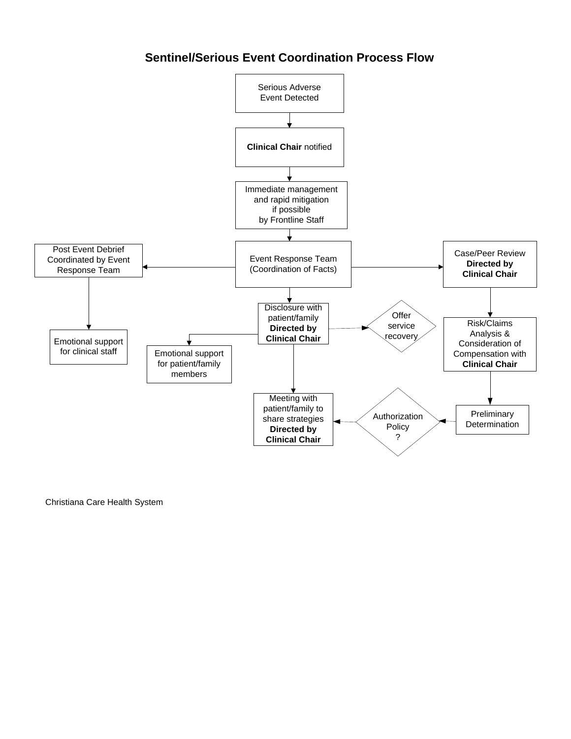# **Sentinel/Serious Event Coordination Process Flow**



Christiana Care Health System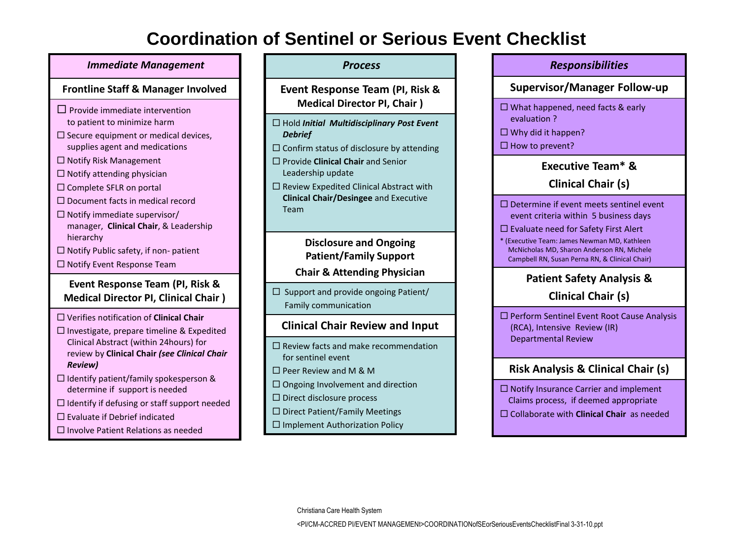# **Coordination of Sentinel or Serious Event Checklist**

#### *Immediate Management*

### **Frontline Staff & Manager Involved**

- $\Box$  Provide immediate intervention to patient to minimize harm
- $\square$  Secure equipment or medical devices, supplies agent and medications
- $\Box$  Notify Risk Management
- $\Box$  Notify attending physician
- $\square$  Complete SFLR on portal
- $\square$  Document facts in medical record
- $\Box$  Notify immediate supervisor/ manager, **Clinical Chair**, & Leadership hierarchy
- $\Box$  Notify Public safety, if non- patient
- $\Box$  Notify Event Response Team

### **Event Response Team (PI, Risk & Medical Director PI, Clinical Chair )**

- Verifies notification of **Clinical Chair**
- $\square$  Investigate, prepare timeline & Expedited Clinical Abstract (within 24hours) for review by **Clinical Chair** *(see Clinical Chair Review)*
- $\Box$  Identify patient/family spokesperson & determine if support is needed
- $\Box$  Identify if defusing or staff support needed
- $\square$  Evaluate if Debrief indicated
- $\square$  Involve Patient Relations as needed

### *Process*

**Event Response Team (PI, Risk & Medical Director PI, Chair )** 

- Hold *Initial Multidisciplinary Post Event Debrief*
- $\square$  Confirm status of disclosure by attending
- Provide **Clinical Chair** and Senior Leadership update
- $\square$  Review Expedited Clinical Abstract with **Clinical Chair/Desingee** and Executive Team

### **Disclosure and Ongoing Patient/Family Support**

## **Chair & Attending Physician**

 $\Box$  Support and provide ongoing Patient/ Family communication

# **Clinical Chair Review and Input**

- $\square$  Review facts and make recommendation for sentinel event
- Peer Review and M & M
- $\Box$  Ongoing Involvement and direction
- $\square$  Direct disclosure process
- $\square$  Direct Patient/Family Meetings
- $\Box$  Implement Authorization Policy

# *Responsibilities*  **Supervisor/Manager Follow-up**  $\Box$  What happened, need facts & early evaluation ?  $\Box$  Why did it happen?  $\Box$  How to prevent?

# **Executive Team\* &**

# **Clinical Chair (s)**

- $\Box$  Determine if event meets sentinel event event criteria within 5 business days
- $\square$  Evaluate need for Safety First Alert
- \* (Executive Team: James Newman MD, Kathleen McNicholas MD, Sharon Anderson RN, Michele Campbell RN, Susan Perna RN, & Clinical Chair)

# **Patient Safety Analysis &**

# **Clinical Chair (s)**

 $\square$  Perform Sentinel Event Root Cause Analysis (RCA), Intensive Review (IR) Departmental Review

# **Risk Analysis & Clinical Chair (s)**

 $\square$  Notify Insurance Carrier and implement Claims process, if deemed appropriate Collaborate with **Clinical Chair** as needed

Christiana Care Health System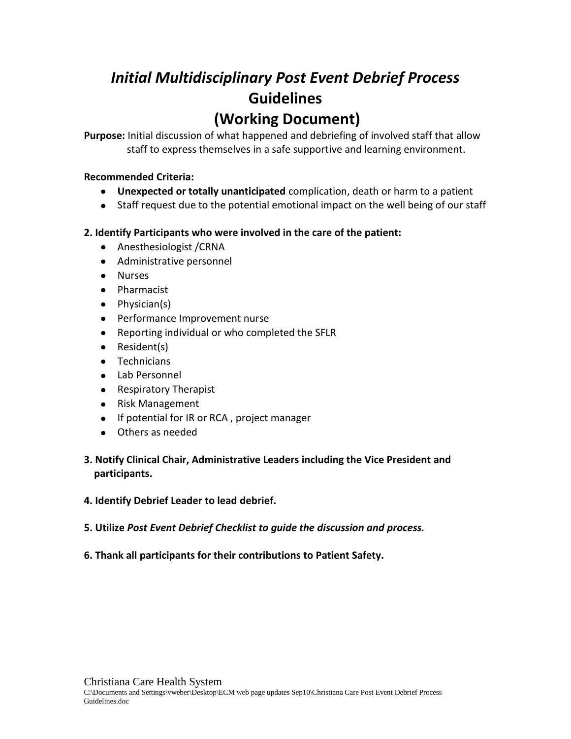# *Initial Multidisciplinary Post Event Debrief Process* **Guidelines (Working Document)**

**Purpose:** Initial discussion of what happened and debriefing of involved staff that allow staff to express themselves in a safe supportive and learning environment.

## **Recommended Criteria:**

- **Unexpected or totally unanticipated** complication, death or harm to a patient
- Staff request due to the potential emotional impact on the well being of our staff

### **2. Identify Participants who were involved in the care of the patient:**

- Anesthesiologist / CRNA
- Administrative personnel
- Nurses
- Pharmacist
- Physician(s)
- Performance Improvement nurse
- Reporting individual or who completed the SFLR
- Resident(s)
- Technicians
- Lab Personnel
- Respiratory Therapist
- Risk Management
- If potential for IR or RCA, project manager
- Others as needed

## **3. Notify Clinical Chair, Administrative Leaders including the Vice President and participants.**

### **4. Identify Debrief Leader to lead debrief.**

- **5. Utilize** *Post Event Debrief Checklist to guide the discussion and process.*
- **6. Thank all participants for their contributions to Patient Safety.**